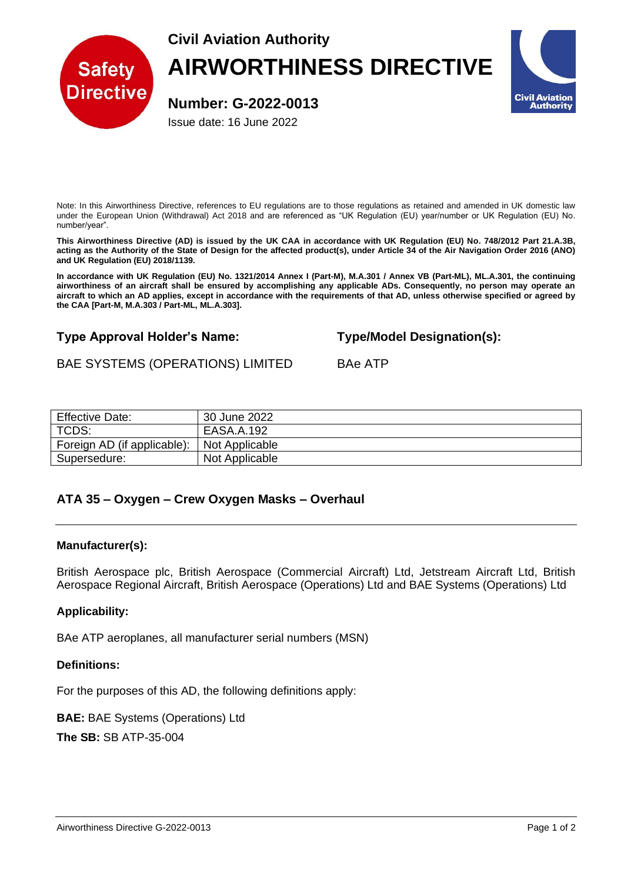**Civil Aviation Authority**



# **AIRWORTHINESS DIRECTIVE**

**Number: G-2022-0013**

Issue date: 16 June 2022



Note: In this Airworthiness Directive, references to EU regulations are to those regulations as retained and amended in UK domestic law under the European Union (Withdrawal) Act 2018 and are referenced as "UK Regulation (EU) year/number or UK Regulation (EU) No. number/year".

**This Airworthiness Directive (AD) is issued by the UK CAA in accordance with UK Regulation (EU) No. 748/2012 Part 21.A.3B, acting as the Authority of the State of Design for the affected product(s), under Article 34 of the Air Navigation Order 2016 (ANO) and UK Regulation (EU) 2018/1139.**

**In accordance with UK Regulation (EU) No. 1321/2014 Annex I (Part-M), M.A.301 / Annex VB (Part-ML), ML.A.301, the continuing airworthiness of an aircraft shall be ensured by accomplishing any applicable ADs. Consequently, no person may operate an aircraft to which an AD applies, except in accordance with the requirements of that AD, unless otherwise specified or agreed by the CAA [Part-M, M.A.303 / Part-ML, ML.A.303].**

## **Type Approval Holder's Name: Type/Model Designation(s):**

## BAE SYSTEMS (OPERATIONS) LIMITED BAe ATP

| <b>Effective Date:</b>      | 30 June 2022   |
|-----------------------------|----------------|
| TCDS:                       | EASA.A.192     |
| Foreign AD (if applicable): | Not Applicable |
| Supersedure:                | Not Applicable |

## **ATA 35 – Oxygen – Crew Oxygen Masks – Overhaul**

#### **Manufacturer(s):**

British Aerospace plc, British Aerospace (Commercial Aircraft) Ltd, Jetstream Aircraft Ltd, British Aerospace Regional Aircraft, British Aerospace (Operations) Ltd and BAE Systems (Operations) Ltd

### **Applicability:**

BAe ATP aeroplanes, all manufacturer serial numbers (MSN)

#### **Definitions:**

For the purposes of this AD, the following definitions apply:

**BAE:** BAE Systems (Operations) Ltd

**The SB:** SB ATP-35-004